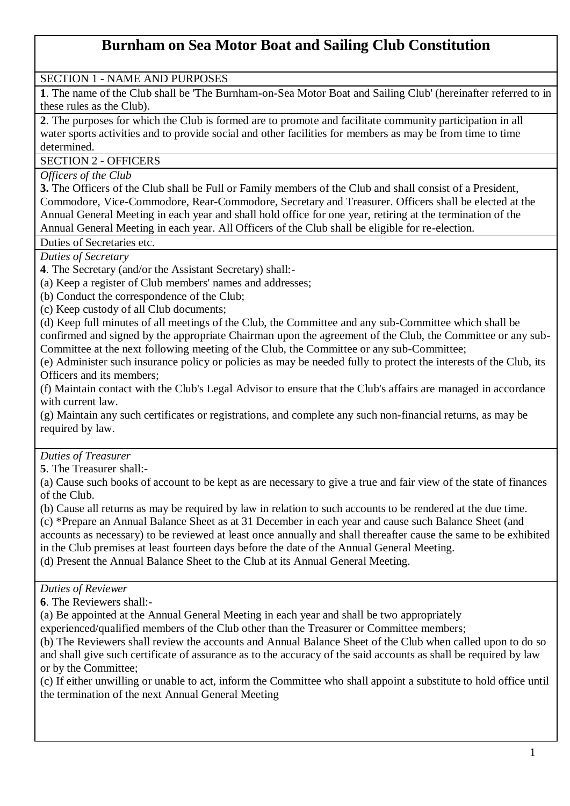# **Burnham on Sea Motor Boat and Sailing Club Constitution**

### SECTION 1 - NAME AND PURPOSES

**1**. The name of the Club shall be 'The Burnham-on-Sea Motor Boat and Sailing Club' (hereinafter referred to in these rules as the Club).

**2**. The purposes for which the Club is formed are to promote and facilitate community participation in all water sports activities and to provide social and other facilities for members as may be from time to time determined.

#### SECTION 2 - OFFICERS

*Officers of the Club*

**3.** The Officers of the Club shall be Full or Family members of the Club and shall consist of a President, Commodore, Vice-Commodore, Rear-Commodore, Secretary and Treasurer. Officers shall be elected at the Annual General Meeting in each year and shall hold office for one year, retiring at the termination of the Annual General Meeting in each year. All Officers of the Club shall be eligible for re-election.

Duties of Secretaries etc.

*Duties of Secretary*

**4**. The Secretary (and/or the Assistant Secretary) shall:-

(a) Keep a register of Club members' names and addresses;

(b) Conduct the correspondence of the Club;

(c) Keep custody of all Club documents;

(d) Keep full minutes of all meetings of the Club, the Committee and any sub-Committee which shall be confirmed and signed by the appropriate Chairman upon the agreement of the Club, the Committee or any sub-Committee at the next following meeting of the Club, the Committee or any sub-Committee;

(e) Administer such insurance policy or policies as may be needed fully to protect the interests of the Club, its Officers and its members;

(f) Maintain contact with the Club's Legal Advisor to ensure that the Club's affairs are managed in accordance with current law.

(g) Maintain any such certificates or registrations, and complete any such non-financial returns, as may be required by law.

# *Duties of Treasurer*

**5**. The Treasurer shall:-

(a) Cause such books of account to be kept as are necessary to give a true and fair view of the state of finances of the Club.

(b) Cause all returns as may be required by law in relation to such accounts to be rendered at the due time. (c) \*Prepare an Annual Balance Sheet as at 31 December in each year and cause such Balance Sheet (and accounts as necessary) to be reviewed at least once annually and shall thereafter cause the same to be exhibited

in the Club premises at least fourteen days before the date of the Annual General Meeting. (d) Present the Annual Balance Sheet to the Club at its Annual General Meeting.

#### *Duties of Reviewer*

**6**. The Reviewers shall:-

(a) Be appointed at the Annual General Meeting in each year and shall be two appropriately

experienced/qualified members of the Club other than the Treasurer or Committee members;

(b) The Reviewers shall review the accounts and Annual Balance Sheet of the Club when called upon to do so and shall give such certificate of assurance as to the accuracy of the said accounts as shall be required by law or by the Committee;

(c) If either unwilling or unable to act, inform the Committee who shall appoint a substitute to hold office until the termination of the next Annual General Meeting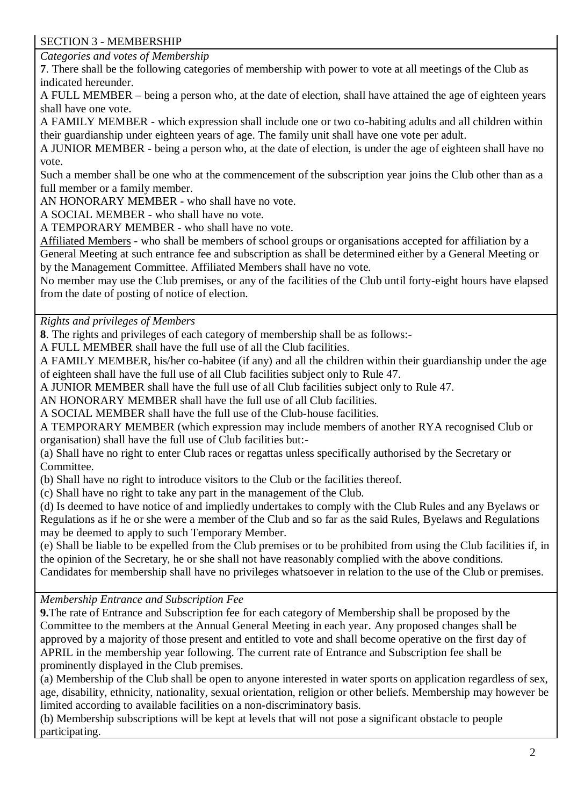# SECTION 3 - MEMBERSHIP

*Categories and votes of Membership*

**7**. There shall be the following categories of membership with power to vote at all meetings of the Club as indicated hereunder.

A FULL MEMBER – being a person who, at the date of election, shall have attained the age of eighteen years shall have one vote.

A FAMILY MEMBER - which expression shall include one or two co-habiting adults and all children within their guardianship under eighteen years of age. The family unit shall have one vote per adult.

A JUNIOR MEMBER - being a person who, at the date of election, is under the age of eighteen shall have no vote.

Such a member shall be one who at the commencement of the subscription year joins the Club other than as a full member or a family member.

AN HONORARY MEMBER - who shall have no vote.

A SOCIAL MEMBER - who shall have no vote.

A TEMPORARY MEMBER - who shall have no vote.

Affiliated Members - who shall be members of school groups or organisations accepted for affiliation by a General Meeting at such entrance fee and subscription as shall be determined either by a General Meeting or by the Management Committee. Affiliated Members shall have no vote.

No member may use the Club premises, or any of the facilities of the Club until forty-eight hours have elapsed from the date of posting of notice of election.

*Rights and privileges of Members* 

**8**. The rights and privileges of each category of membership shall be as follows:-

A FULL MEMBER shall have the full use of all the Club facilities.

A FAMILY MEMBER, his/her co-habitee (if any) and all the children within their guardianship under the age of eighteen shall have the full use of all Club facilities subject only to Rule 47.

A JUNIOR MEMBER shall have the full use of all Club facilities subject only to Rule 47.

AN HONORARY MEMBER shall have the full use of all Club facilities.

A SOCIAL MEMBER shall have the full use of the Club-house facilities.

A TEMPORARY MEMBER (which expression may include members of another RYA recognised Club or organisation) shall have the full use of Club facilities but:-

(a) Shall have no right to enter Club races or regattas unless specifically authorised by the Secretary or Committee.

(b) Shall have no right to introduce visitors to the Club or the facilities thereof.

(c) Shall have no right to take any part in the management of the Club.

(d) Is deemed to have notice of and impliedly undertakes to comply with the Club Rules and any Byelaws or Regulations as if he or she were a member of the Club and so far as the said Rules, Byelaws and Regulations may be deemed to apply to such Temporary Member.

(e) Shall be liable to be expelled from the Club premises or to be prohibited from using the Club facilities if, in the opinion of the Secretary, he or she shall not have reasonably complied with the above conditions. Candidates for membership shall have no privileges whatsoever in relation to the use of the Club or premises.

*Membership Entrance and Subscription Fee* 

**9.**The rate of Entrance and Subscription fee for each category of Membership shall be proposed by the Committee to the members at the Annual General Meeting in each year. Any proposed changes shall be approved by a majority of those present and entitled to vote and shall become operative on the first day of APRIL in the membership year following. The current rate of Entrance and Subscription fee shall be prominently displayed in the Club premises.

(a) Membership of the Club shall be open to anyone interested in water sports on application regardless of sex, age, disability, ethnicity, nationality, sexual orientation, religion or other beliefs. Membership may however be limited according to available facilities on a non-discriminatory basis.

(b) Membership subscriptions will be kept at levels that will not pose a significant obstacle to people participating.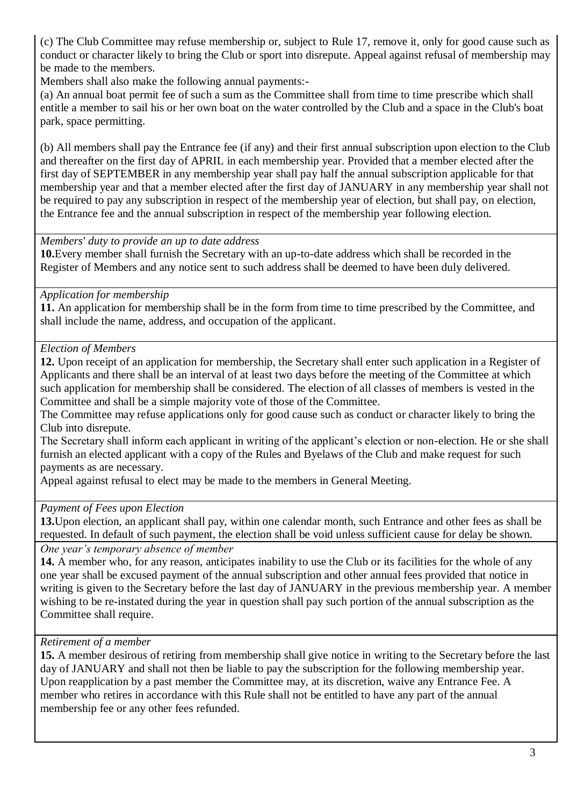(c) The Club Committee may refuse membership or, subject to Rule 17, remove it, only for good cause such as conduct or character likely to bring the Club or sport into disrepute. Appeal against refusal of membership may be made to the members.

Members shall also make the following annual payments:-

(a) An annual boat permit fee of such a sum as the Committee shall from time to time prescribe which shall entitle a member to sail his or her own boat on the water controlled by the Club and a space in the Club's boat park, space permitting.

(b) All members shall pay the Entrance fee (if any) and their first annual subscription upon election to the Club and thereafter on the first day of APRIL in each membership year. Provided that a member elected after the first day of SEPTEMBER in any membership year shall pay half the annual subscription applicable for that membership year and that a member elected after the first day of JANUARY in any membership year shall not be required to pay any subscription in respect of the membership year of election, but shall pay, on election, the Entrance fee and the annual subscription in respect of the membership year following election.

*Members' duty to provide an up to date address*

**10.**Every member shall furnish the Secretary with an up-to-date address which shall be recorded in the Register of Members and any notice sent to such address shall be deemed to have been duly delivered.

#### *Application for membership*

**11.** An application for membership shall be in the form from time to time prescribed by the Committee, and shall include the name, address, and occupation of the applicant.

### *Election of Members*

**12.** Upon receipt of an application for membership, the Secretary shall enter such application in a Register of Applicants and there shall be an interval of at least two days before the meeting of the Committee at which such application for membership shall be considered. The election of all classes of members is vested in the Committee and shall be a simple majority vote of those of the Committee.

The Committee may refuse applications only for good cause such as conduct or character likely to bring the Club into disrepute.

The Secretary shall inform each applicant in writing of the applicant's election or non-election. He or she shall furnish an elected applicant with a copy of the Rules and Byelaws of the Club and make request for such payments as are necessary.

Appeal against refusal to elect may be made to the members in General Meeting.

# *Payment of Fees upon Election*

**13.**Upon election, an applicant shall pay, within one calendar month, such Entrance and other fees as shall be requested. In default of such payment, the election shall be void unless sufficient cause for delay be shown.

*One year's temporary absence of member* 

**14.** A member who, for any reason, anticipates inability to use the Club or its facilities for the whole of any one year shall be excused payment of the annual subscription and other annual fees provided that notice in writing is given to the Secretary before the last day of JANUARY in the previous membership year. A member wishing to be re-instated during the year in question shall pay such portion of the annual subscription as the Committee shall require.

# *Retirement of a member*

**15.** A member desirous of retiring from membership shall give notice in writing to the Secretary before the last day of JANUARY and shall not then be liable to pay the subscription for the following membership year. Upon reapplication by a past member the Committee may, at its discretion, waive any Entrance Fee. A member who retires in accordance with this Rule shall not be entitled to have any part of the annual membership fee or any other fees refunded.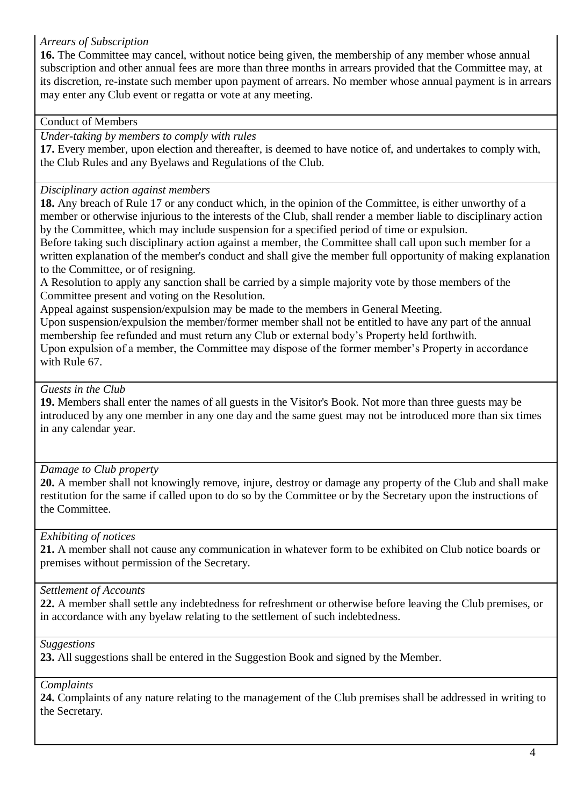### *Arrears of Subscription*

**16.** The Committee may cancel, without notice being given, the membership of any member whose annual subscription and other annual fees are more than three months in arrears provided that the Committee may, at its discretion, re-instate such member upon payment of arrears. No member whose annual payment is in arrears may enter any Club event or regatta or vote at any meeting.

#### Conduct of Members

*Under-taking by members to comply with rules*

**17.** Every member, upon election and thereafter, is deemed to have notice of, and undertakes to comply with, the Club Rules and any Byelaws and Regulations of the Club.

### *Disciplinary action against members*

**18.** Any breach of Rule 17 or any conduct which, in the opinion of the Committee, is either unworthy of a member or otherwise injurious to the interests of the Club, shall render a member liable to disciplinary action by the Committee, which may include suspension for a specified period of time or expulsion. Before taking such disciplinary action against a member, the Committee shall call upon such member for a

written explanation of the member's conduct and shall give the member full opportunity of making explanation to the Committee, or of resigning.

A Resolution to apply any sanction shall be carried by a simple majority vote by those members of the Committee present and voting on the Resolution.

Appeal against suspension/expulsion may be made to the members in General Meeting.

Upon suspension/expulsion the member/former member shall not be entitled to have any part of the annual membership fee refunded and must return any Club or external body's Property held forthwith.

Upon expulsion of a member, the Committee may dispose of the former member's Property in accordance with Rule 67.

# *Guests in the Club*

**19.** Members shall enter the names of all guests in the Visitor's Book. Not more than three guests may be introduced by any one member in any one day and the same guest may not be introduced more than six times in any calendar year.

# *Damage to Club property*

**20.** A member shall not knowingly remove, injure, destroy or damage any property of the Club and shall make restitution for the same if called upon to do so by the Committee or by the Secretary upon the instructions of the Committee.

# *Exhibiting of notices*

**21.** A member shall not cause any communication in whatever form to be exhibited on Club notice boards or premises without permission of the Secretary.

# *Settlement of Accounts*

**22.** A member shall settle any indebtedness for refreshment or otherwise before leaving the Club premises, or in accordance with any byelaw relating to the settlement of such indebtedness.

*Suggestions*

**23.** All suggestions shall be entered in the Suggestion Book and signed by the Member.

*Complaints*

**24.** Complaints of any nature relating to the management of the Club premises shall be addressed in writing to the Secretary.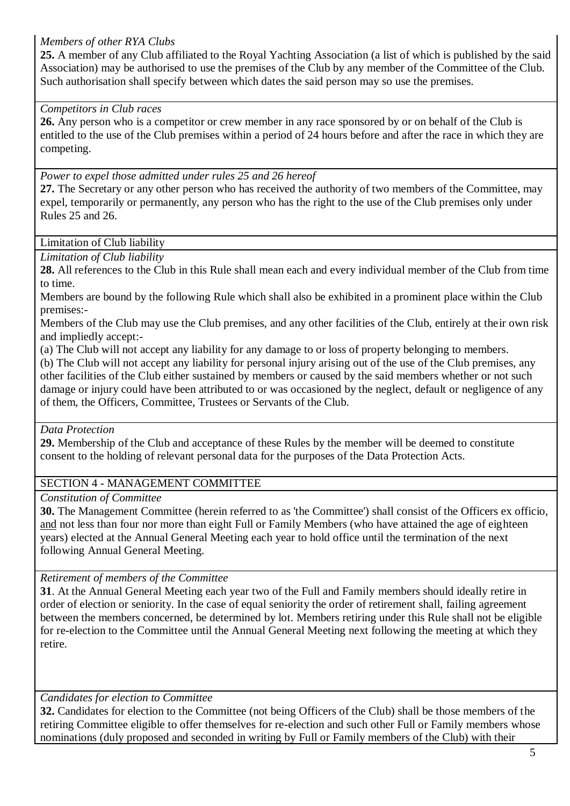### *Members of other RYA Clubs*

**25.** A member of any Club affiliated to the Royal Yachting Association (a list of which is published by the said Association) may be authorised to use the premises of the Club by any member of the Committee of the Club. Such authorisation shall specify between which dates the said person may so use the premises.

### *Competitors in Club races*

**26.** Any person who is a competitor or crew member in any race sponsored by or on behalf of the Club is entitled to the use of the Club premises within a period of 24 hours before and after the race in which they are competing.

*Power to expel those admitted under rules 25 and 26 hereof*

**27.** The Secretary or any other person who has received the authority of two members of the Committee, may expel, temporarily or permanently, any person who has the right to the use of the Club premises only under Rules 25 and 26.

Limitation of Club liability

*Limitation of Club liability*

**28.** All references to the Club in this Rule shall mean each and every individual member of the Club from time to time.

Members are bound by the following Rule which shall also be exhibited in a prominent place within the Club premises:-

Members of the Club may use the Club premises, and any other facilities of the Club, entirely at their own risk and impliedly accept:-

(a) The Club will not accept any liability for any damage to or loss of property belonging to members.

(b) The Club will not accept any liability for personal injury arising out of the use of the Club premises, any other facilities of the Club either sustained by members or caused by the said members whether or not such damage or injury could have been attributed to or was occasioned by the neglect, default or negligence of any of them, the Officers, Committee, Trustees or Servants of the Club.

#### *Data Protection*

**29.** Membership of the Club and acceptance of these Rules by the member will be deemed to constitute consent to the holding of relevant personal data for the purposes of the Data Protection Acts.

# SECTION 4 - MANAGEMENT COMMITTEE

*Constitution of Committee*

**30.** The Management Committee (herein referred to as 'the Committee') shall consist of the Officers ex officio, and not less than four nor more than eight Full or Family Members (who have attained the age of eighteen years) elected at the Annual General Meeting each year to hold office until the termination of the next following Annual General Meeting.

# *Retirement of members of the Committee*

**31**. At the Annual General Meeting each year two of the Full and Family members should ideally retire in order of election or seniority. In the case of equal seniority the order of retirement shall, failing agreement between the members concerned, be determined by lot. Members retiring under this Rule shall not be eligible for re-election to the Committee until the Annual General Meeting next following the meeting at which they retire.

# *Candidates for election to Committee*

**32.** Candidates for election to the Committee (not being Officers of the Club) shall be those members of the retiring Committee eligible to offer themselves for re-election and such other Full or Family members whose nominations (duly proposed and seconded in writing by Full or Family members of the Club) with their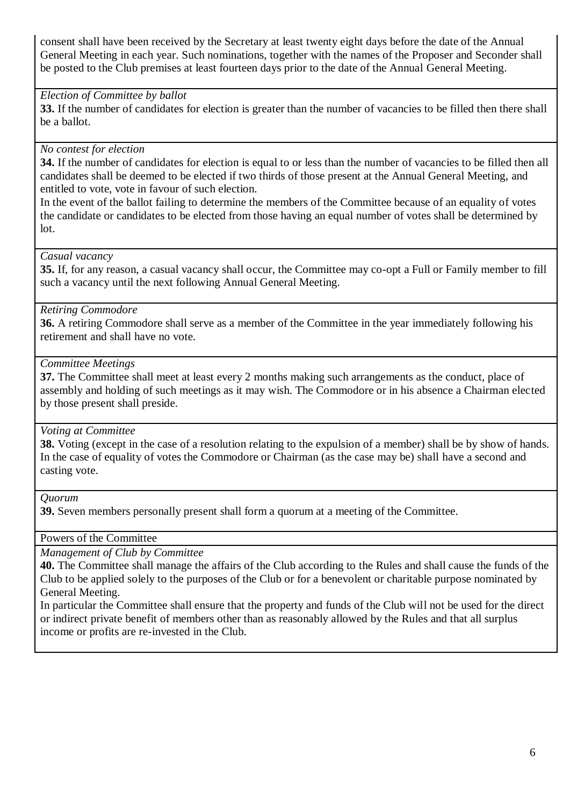consent shall have been received by the Secretary at least twenty eight days before the date of the Annual General Meeting in each year. Such nominations, together with the names of the Proposer and Seconder shall be posted to the Club premises at least fourteen days prior to the date of the Annual General Meeting.

#### *Election of Committee by ballot*

**33.** If the number of candidates for election is greater than the number of vacancies to be filled then there shall be a ballot.

### *No contest for election*

**34.** If the number of candidates for election is equal to or less than the number of vacancies to be filled then all candidates shall be deemed to be elected if two thirds of those present at the Annual General Meeting, and entitled to vote, vote in favour of such election.

In the event of the ballot failing to determine the members of the Committee because of an equality of votes the candidate or candidates to be elected from those having an equal number of votes shall be determined by lot.

#### *Casual vacancy*

**35.** If, for any reason, a casual vacancy shall occur, the Committee may co-opt a Full or Family member to fill such a vacancy until the next following Annual General Meeting.

#### *Retiring Commodore*

**36.** A retiring Commodore shall serve as a member of the Committee in the year immediately following his retirement and shall have no vote.

#### *Committee Meetings*

**37.** The Committee shall meet at least every 2 months making such arrangements as the conduct, place of assembly and holding of such meetings as it may wish. The Commodore or in his absence a Chairman elected by those present shall preside.

#### *Voting at Committee*

**38.** Voting (except in the case of a resolution relating to the expulsion of a member) shall be by show of hands. In the case of equality of votes the Commodore or Chairman (as the case may be) shall have a second and casting vote.

*Quorum*

**39.** Seven members personally present shall form a quorum at a meeting of the Committee.

Powers of the Committee

*Management of Club by Committee*

**40.** The Committee shall manage the affairs of the Club according to the Rules and shall cause the funds of the Club to be applied solely to the purposes of the Club or for a benevolent or charitable purpose nominated by General Meeting.

In particular the Committee shall ensure that the property and funds of the Club will not be used for the direct or indirect private benefit of members other than as reasonably allowed by the Rules and that all surplus income or profits are re-invested in the Club.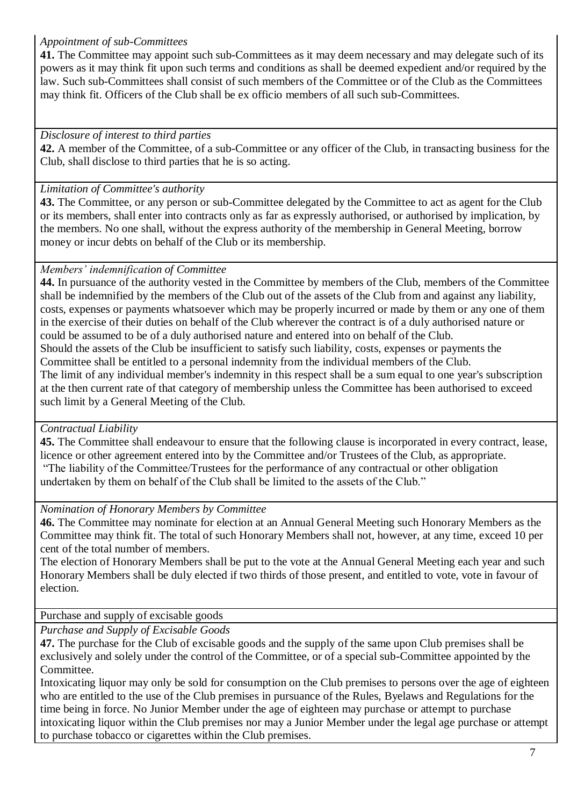### *Appointment of sub-Committees*

**41.** The Committee may appoint such sub-Committees as it may deem necessary and may delegate such of its powers as it may think fit upon such terms and conditions as shall be deemed expedient and/or required by the law. Such sub-Committees shall consist of such members of the Committee or of the Club as the Committees may think fit. Officers of the Club shall be ex officio members of all such sub-Committees.

### *Disclosure of interest to third parties*

**42.** A member of the Committee, of a sub-Committee or any officer of the Club, in transacting business for the Club, shall disclose to third parties that he is so acting.

### *Limitation of Committee's authority*

**43.** The Committee, or any person or sub-Committee delegated by the Committee to act as agent for the Club or its members, shall enter into contracts only as far as expressly authorised, or authorised by implication, by the members. No one shall, without the express authority of the membership in General Meeting, borrow money or incur debts on behalf of the Club or its membership.

### *Members' indemnification of Committee*

**44.** In pursuance of the authority vested in the Committee by members of the Club, members of the Committee shall be indemnified by the members of the Club out of the assets of the Club from and against any liability, costs, expenses or payments whatsoever which may be properly incurred or made by them or any one of them in the exercise of their duties on behalf of the Club wherever the contract is of a duly authorised nature or could be assumed to be of a duly authorised nature and entered into on behalf of the Club. Should the assets of the Club be insufficient to satisfy such liability, costs, expenses or payments the Committee shall be entitled to a personal indemnity from the individual members of the Club. The limit of any individual member's indemnity in this respect shall be a sum equal to one year's subscription at the then current rate of that category of membership unless the Committee has been authorised to exceed such limit by a General Meeting of the Club.

# *Contractual Liability*

**45.** The Committee shall endeavour to ensure that the following clause is incorporated in every contract, lease, licence or other agreement entered into by the Committee and/or Trustees of the Club, as appropriate. "The liability of the Committee/Trustees for the performance of any contractual or other obligation undertaken by them on behalf of the Club shall be limited to the assets of the Club."

#### *Nomination of Honorary Members by Committee*

**46.** The Committee may nominate for election at an Annual General Meeting such Honorary Members as the Committee may think fit. The total of such Honorary Members shall not, however, at any time, exceed 10 per cent of the total number of members.

The election of Honorary Members shall be put to the vote at the Annual General Meeting each year and such Honorary Members shall be duly elected if two thirds of those present, and entitled to vote, vote in favour of election.

# Purchase and supply of excisable goods

*Purchase and Supply of Excisable Goods*

**47.** The purchase for the Club of excisable goods and the supply of the same upon Club premises shall be exclusively and solely under the control of the Committee, or of a special sub-Committee appointed by the Committee.

Intoxicating liquor may only be sold for consumption on the Club premises to persons over the age of eighteen who are entitled to the use of the Club premises in pursuance of the Rules, Byelaws and Regulations for the time being in force. No Junior Member under the age of eighteen may purchase or attempt to purchase intoxicating liquor within the Club premises nor may a Junior Member under the legal age purchase or attempt to purchase tobacco or cigarettes within the Club premises.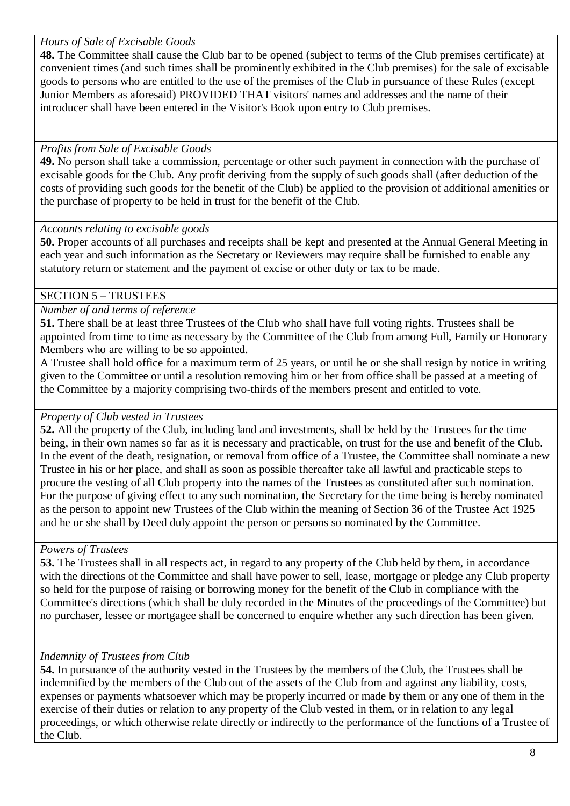### *Hours of Sale of Excisable Goods*

**48.** The Committee shall cause the Club bar to be opened (subject to terms of the Club premises certificate) at convenient times (and such times shall be prominently exhibited in the Club premises) for the sale of excisable goods to persons who are entitled to the use of the premises of the Club in pursuance of these Rules (except Junior Members as aforesaid) PROVIDED THAT visitors' names and addresses and the name of their introducer shall have been entered in the Visitor's Book upon entry to Club premises.

# *Profits from Sale of Excisable Goods*

**49.** No person shall take a commission, percentage or other such payment in connection with the purchase of excisable goods for the Club. Any profit deriving from the supply of such goods shall (after deduction of the costs of providing such goods for the benefit of the Club) be applied to the provision of additional amenities or the purchase of property to be held in trust for the benefit of the Club.

#### *Accounts relating to excisable goods*

**50.** Proper accounts of all purchases and receipts shall be kept and presented at the Annual General Meeting in each year and such information as the Secretary or Reviewers may require shall be furnished to enable any statutory return or statement and the payment of excise or other duty or tax to be made.

# SECTION 5 – TRUSTEES

### *Number of and terms of reference*

**51.** There shall be at least three Trustees of the Club who shall have full voting rights. Trustees shall be appointed from time to time as necessary by the Committee of the Club from among Full, Family or Honorary Members who are willing to be so appointed.

A Trustee shall hold office for a maximum term of 25 years, or until he or she shall resign by notice in writing given to the Committee or until a resolution removing him or her from office shall be passed at a meeting of the Committee by a majority comprising two-thirds of the members present and entitled to vote.

# *Property of Club vested in Trustees*

**52.** All the property of the Club, including land and investments, shall be held by the Trustees for the time being, in their own names so far as it is necessary and practicable, on trust for the use and benefit of the Club. In the event of the death, resignation, or removal from office of a Trustee, the Committee shall nominate a new Trustee in his or her place, and shall as soon as possible thereafter take all lawful and practicable steps to procure the vesting of all Club property into the names of the Trustees as constituted after such nomination. For the purpose of giving effect to any such nomination, the Secretary for the time being is hereby nominated as the person to appoint new Trustees of the Club within the meaning of Section 36 of the Trustee Act 1925 and he or she shall by Deed duly appoint the person or persons so nominated by the Committee.

# *Powers of Trustees*

**53.** The Trustees shall in all respects act, in regard to any property of the Club held by them, in accordance with the directions of the Committee and shall have power to sell, lease, mortgage or pledge any Club property so held for the purpose of raising or borrowing money for the benefit of the Club in compliance with the Committee's directions (which shall be duly recorded in the Minutes of the proceedings of the Committee) but no purchaser, lessee or mortgagee shall be concerned to enquire whether any such direction has been given.

# *Indemnity of Trustees from Club*

**54.** In pursuance of the authority vested in the Trustees by the members of the Club, the Trustees shall be indemnified by the members of the Club out of the assets of the Club from and against any liability, costs, expenses or payments whatsoever which may be properly incurred or made by them or any one of them in the exercise of their duties or relation to any property of the Club vested in them, or in relation to any legal proceedings, or which otherwise relate directly or indirectly to the performance of the functions of a Trustee of the Club.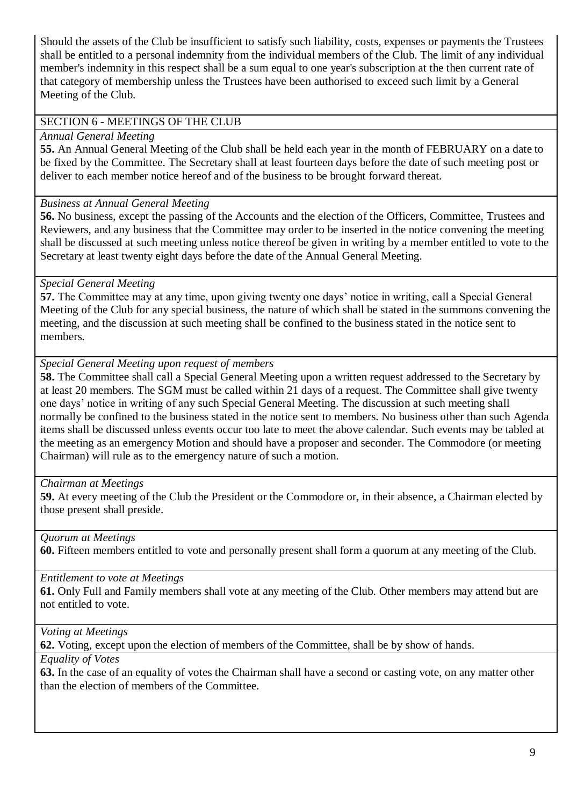Should the assets of the Club be insufficient to satisfy such liability, costs, expenses or payments the Trustees shall be entitled to a personal indemnity from the individual members of the Club. The limit of any individual member's indemnity in this respect shall be a sum equal to one year's subscription at the then current rate of that category of membership unless the Trustees have been authorised to exceed such limit by a General Meeting of the Club.

#### SECTION 6 - MEETINGS OF THE CLUB

#### *Annual General Meeting*

**55.** An Annual General Meeting of the Club shall be held each year in the month of FEBRUARY on a date to be fixed by the Committee. The Secretary shall at least fourteen days before the date of such meeting post or deliver to each member notice hereof and of the business to be brought forward thereat.

#### *Business at Annual General Meeting*

**56.** No business, except the passing of the Accounts and the election of the Officers, Committee, Trustees and Reviewers, and any business that the Committee may order to be inserted in the notice convening the meeting shall be discussed at such meeting unless notice thereof be given in writing by a member entitled to vote to the Secretary at least twenty eight days before the date of the Annual General Meeting.

# *Special General Meeting*

**57.** The Committee may at any time, upon giving twenty one days' notice in writing, call a Special General Meeting of the Club for any special business, the nature of which shall be stated in the summons convening the meeting, and the discussion at such meeting shall be confined to the business stated in the notice sent to members.

### *Special General Meeting upon request of members*

**58.** The Committee shall call a Special General Meeting upon a written request addressed to the Secretary by at least 20 members. The SGM must be called within 21 days of a request. The Committee shall give twenty one days' notice in writing of any such Special General Meeting. The discussion at such meeting shall normally be confined to the business stated in the notice sent to members. No business other than such Agenda items shall be discussed unless events occur too late to meet the above calendar. Such events may be tabled at the meeting as an emergency Motion and should have a proposer and seconder. The Commodore (or meeting Chairman) will rule as to the emergency nature of such a motion.

#### *Chairman at Meetings*

**59.** At every meeting of the Club the President or the Commodore or, in their absence, a Chairman elected by those present shall preside.

# *Quorum at Meetings*

**60.** Fifteen members entitled to vote and personally present shall form a quorum at any meeting of the Club.

#### *Entitlement to vote at Meetings*

**61.** Only Full and Family members shall vote at any meeting of the Club. Other members may attend but are not entitled to vote.

*Voting at Meetings*

**62.** Voting, except upon the election of members of the Committee, shall be by show of hands.

#### *Equality of Votes*

**63.** In the case of an equality of votes the Chairman shall have a second or casting vote, on any matter other than the election of members of the Committee.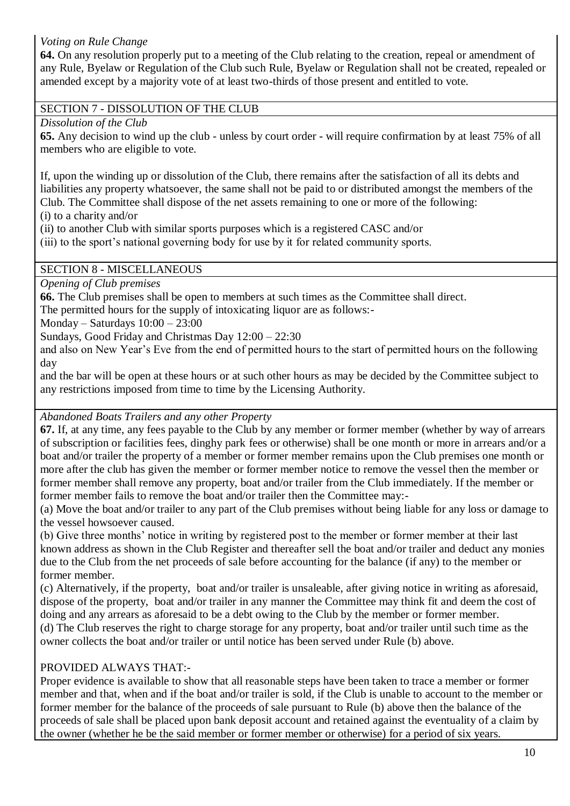# *Voting on Rule Change*

**64.** On any resolution properly put to a meeting of the Club relating to the creation, repeal or amendment of any Rule, Byelaw or Regulation of the Club such Rule, Byelaw or Regulation shall not be created, repealed or amended except by a majority vote of at least two-thirds of those present and entitled to vote.

### SECTION 7 - DISSOLUTION OF THE CLUB

*Dissolution of the Club*

**65.** Any decision to wind up the club - unless by court order - will require confirmation by at least 75% of all members who are eligible to vote.

If, upon the winding up or dissolution of the Club, there remains after the satisfaction of all its debts and liabilities any property whatsoever, the same shall not be paid to or distributed amongst the members of the Club. The Committee shall dispose of the net assets remaining to one or more of the following: (i) to a charity and/or

(ii) to another Club with similar sports purposes which is a registered CASC and/or

(iii) to the sport's national governing body for use by it for related community sports.

### SECTION 8 - MISCELLANEOUS

*Opening of Club premises*

**66.** The Club premises shall be open to members at such times as the Committee shall direct.

The permitted hours for the supply of intoxicating liquor are as follows:-

Monday – Saturdays 10:00 – 23:00

Sundays, Good Friday and Christmas Day 12:00 – 22:30

and also on New Year's Eve from the end of permitted hours to the start of permitted hours on the following day

and the bar will be open at these hours or at such other hours as may be decided by the Committee subject to any restrictions imposed from time to time by the Licensing Authority.

# *Abandoned Boats Trailers and any other Property*

**67.** If, at any time, any fees payable to the Club by any member or former member (whether by way of arrears of subscription or facilities fees, dinghy park fees or otherwise) shall be one month or more in arrears and/or a boat and/or trailer the property of a member or former member remains upon the Club premises one month or more after the club has given the member or former member notice to remove the vessel then the member or former member shall remove any property, boat and/or trailer from the Club immediately. If the member or former member fails to remove the boat and/or trailer then the Committee may:-

(a) Move the boat and/or trailer to any part of the Club premises without being liable for any loss or damage to the vessel howsoever caused.

(b) Give three months' notice in writing by registered post to the member or former member at their last known address as shown in the Club Register and thereafter sell the boat and/or trailer and deduct any monies due to the Club from the net proceeds of sale before accounting for the balance (if any) to the member or former member.

(c) Alternatively, if the property, boat and/or trailer is unsaleable, after giving notice in writing as aforesaid, dispose of the property, boat and/or trailer in any manner the Committee may think fit and deem the cost of doing and any arrears as aforesaid to be a debt owing to the Club by the member or former member. (d) The Club reserves the right to charge storage for any property, boat and/or trailer until such time as the owner collects the boat and/or trailer or until notice has been served under Rule (b) above.

# PROVIDED ALWAYS THAT:-

Proper evidence is available to show that all reasonable steps have been taken to trace a member or former member and that, when and if the boat and/or trailer is sold, if the Club is unable to account to the member or former member for the balance of the proceeds of sale pursuant to Rule (b) above then the balance of the proceeds of sale shall be placed upon bank deposit account and retained against the eventuality of a claim by the owner (whether he be the said member or former member or otherwise) for a period of six years.